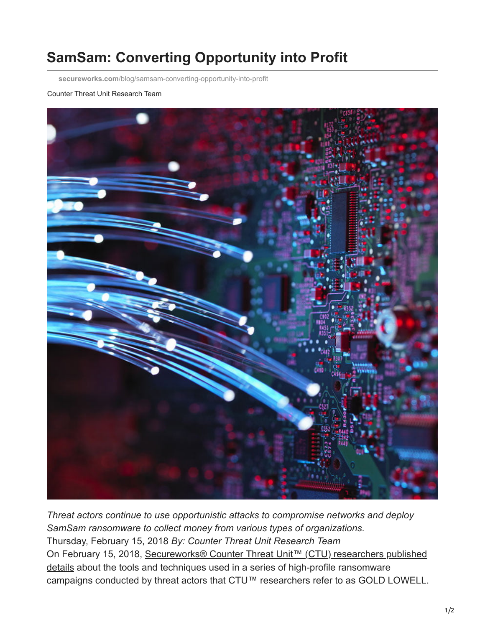## **SamSam: Converting Opportunity into Profit**

**secureworks.com**[/blog/samsam-converting-opportunity-into-profit](https://www.secureworks.com/blog/samsam-converting-opportunity-into-profit)

## Counter Threat Unit Research Team



*Threat actors continue to use opportunistic attacks to compromise networks and deploy SamSam ransomware to collect money from various types of organizations.* Thursday, February 15, 2018 *By: Counter Threat Unit Research Team* [On February 15, 2018, Secureworks® Counter Threat Unit™ \(CTU\) researchers published](https://www.secureworks.com/research/samsam-ransomware-campaigns) details about the tools and techniques used in a series of high-profile ransomware campaigns conducted by threat actors that CTU™ researchers refer to as GOLD LOWELL.